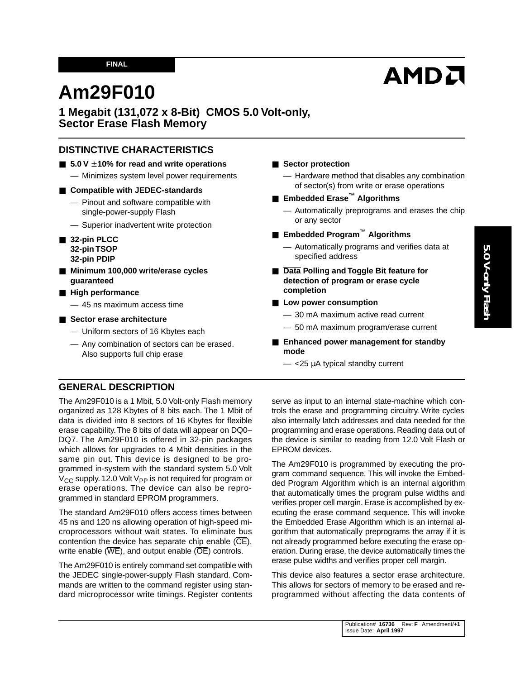#### **FINAL**

# **AMDA**

# **Am29F010**

## **1 Megabit (131,072 x 8-Bit) CMOS 5.0 Volt-only, Sector Erase Flash Memory**

## **DISTINCTIVE CHARACTERISTICS**

- **5.0 V** ± **10% for read and write operations**
	- Minimizes system level power requirements

#### ■ **Compatible with JEDEC-standards**

- Pinout and software compatible with single-power-supply Flash
- Superior inadvertent write protection
- 32-pin PLCC **32-pin TSOP 32-pin PDIP**
- Minimum 100,000 write/erase cycles **guaranteed**
- **High performance** — 45 ns maximum access time
- **Sector erase architecture** 
	- Uniform sectors of 16 Kbytes each
	- Any combination of sectors can be erased. Also supports full chip erase

#### ■ **Sector protection**

- Hardware method that disables any combination of sector(s) from write or erase operations
- **Embedded Erase™ Algorithms**
	- Automatically preprograms and erases the chip or any sector
- **Embedded Program™ Algorithms**
	- Automatically programs and verifies data at specified address
- **Data Polling and Toggle Bit feature for detection of program or erase cycle completion**
- Low power consumption
	- 30 mA maximum active read current
	- 50 mA maximum program/erase current
- **Enhanced power management for standby mode**
	- $-$  <25  $\mu$ A typical standby current

## **GENERAL DESCRIPTION**

The Am29F010 is a 1 Mbit, 5.0 Volt-only Flash memory organized as 128 Kbytes of 8 bits each. The 1 Mbit of data is divided into 8 sectors of 16 Kbytes for flexible erase capability. The 8 bits of data will appear on DQ0– DQ7. The Am29F010 is offered in 32-pin packages which allows for upgrades to 4 Mbit densities in the same pin out. This device is designed to be programmed in-system with the standard system 5.0 Volt  $V_{CC}$  supply. 12.0 Volt  $V_{PP}$  is not required for program or erase operations. The device can also be reprogrammed in standard EPROM programmers.

The standard Am29F010 offers access times between 45 ns and 120 ns allowing operation of high-speed microprocessors without wait states. To eliminate bus contention the device has separate chip enable  $(\overline{CE})$ , write enable  $(\overline{\text{WE}})$ , and output enable  $(\overline{\text{OE}})$  controls.

The Am29F010 is entirely command set compatible with the JEDEC single-power-supply Flash standard. Commands are written to the command register using standard microprocessor write timings. Register contents serve as input to an internal state-machine which controls the erase and programming circuitry. Write cycles also internally latch addresses and data needed for the programming and erase operations. Reading data out of the device is similar to reading from 12.0 Volt Flash or EPROM devices.

The Am29F010 is programmed by executing the program command sequence. This will invoke the Embedded Program Algorithm which is an internal algorithm that automatically times the program pulse widths and verifies proper cell margin. Erase is accomplished by executing the erase command sequence. This will invoke the Embedded Erase Algorithm which is an internal algorithm that automatically preprograms the array if it is not already programmed before executing the erase operation. During erase, the device automatically times the erase pulse widths and verifies proper cell margin.

This device also features a sector erase architecture. This allows for sectors of memory to be erased and reprogrammed without affecting the data contents of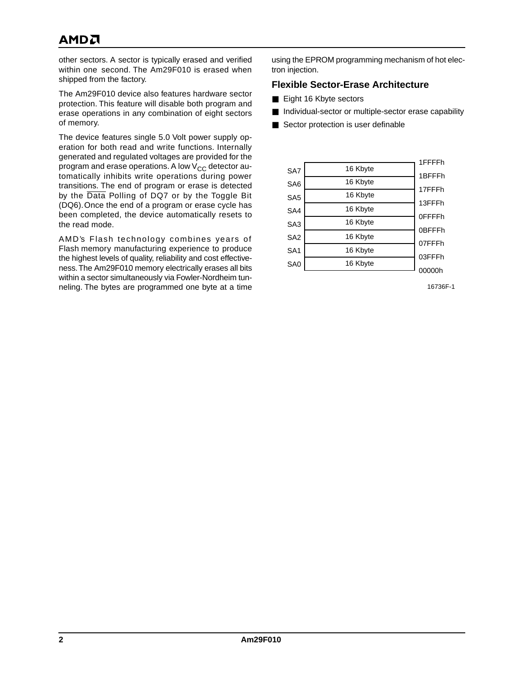# **AMDA**

other sectors. A sector is typically erased and verified within one second. The Am29F010 is erased when shipped from the factory.

The Am29F010 device also features hardware sector protection. This feature will disable both program and erase operations in any combination of eight sectors of memory.

The device features single 5.0 Volt power supply operation for both read and write functions. Internally generated and regulated voltages are provided for the program and erase operations. A low  $V_{CC}$  detector automatically inhibits write operations during power transitions. The end of program or erase is detected by the Data Polling of DQ7 or by the Toggle Bit (DQ6).Once the end of a program or erase cycle has been completed, the device automatically resets to the read mode.

AMD's Flash technology combines years of Flash memory manufacturing experience to produce the highest levels of quality, reliability and cost effectiveness. The Am29F010 memory electrically erases all bits within a sector simultaneously via Fowler-Nordheim tunneling. The bytes are programmed one byte at a time

using the EPROM programming mechanism of hot electron injection.

#### **Flexible Sector-Erase Architecture**

- Eight 16 Kbyte sectors
- Individual-sector or multiple-sector erase capability
- Sector protection is user definable

|                 |          | 1FFFFh        |
|-----------------|----------|---------------|
| SA7             | 16 Kbyte | 1BFFFh        |
| SA <sub>6</sub> | 16 Kbyte |               |
| SA <sub>5</sub> | 16 Kbyte | 17FFFh        |
|                 | 16 Kbyte | 13FFFh        |
| SA4             |          | <b>OFFFFh</b> |
| SA <sub>3</sub> | 16 Kbyte |               |
| SA <sub>2</sub> | 16 Kbyte | 0BFFFh        |
| SA <sub>1</sub> | 16 Kbyte | 07FFFh        |
|                 |          | 03FFFh        |
| SA <sub>0</sub> | 16 Kbyte |               |
|                 |          | 00000h        |

16736F-1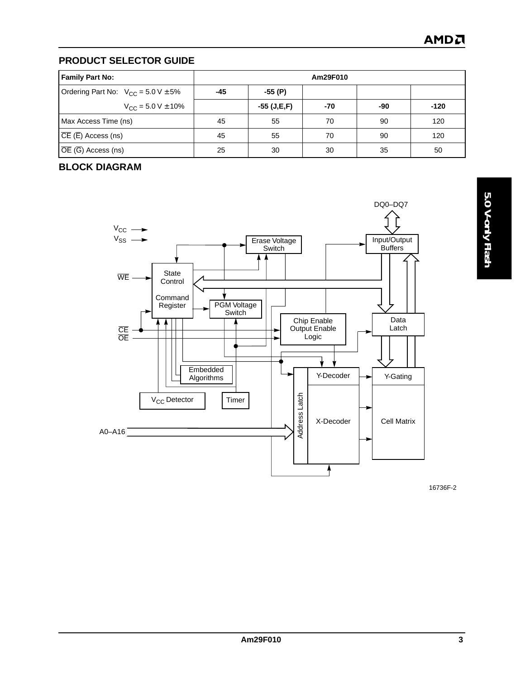## **PRODUCT SELECTOR GUIDE**

| <b>Family Part No:</b>                                           | Am29F010 |             |     |     |        |  |  |  |
|------------------------------------------------------------------|----------|-------------|-----|-----|--------|--|--|--|
| Ordering Part No: $V_{CC} = 5.0 V \pm 5\%$                       | -45      | $-55(P)$    |     |     |        |  |  |  |
| $V_{\text{CC}}$ = 5.0 V $\pm$ 10%                                |          | -55 (J,E,F) | -70 | -90 | $-120$ |  |  |  |
| Max Access Time (ns)                                             | 45       | 55          | 70  | 90  | 120    |  |  |  |
| $\vert \overline{\text{CE}} \,(\overline{\text{E}})$ Access (ns) | 45       | 55          | 70  | 90  | 120    |  |  |  |
| $\vert \overline{OE}$ ( $\overline{G}$ ) Access (ns)             | 25       | 30          | 30  | 35  | 50     |  |  |  |

## **BLOCK DIAGRAM**



5.0 V-only Flash **5.0 V-only Flash**

16736F-2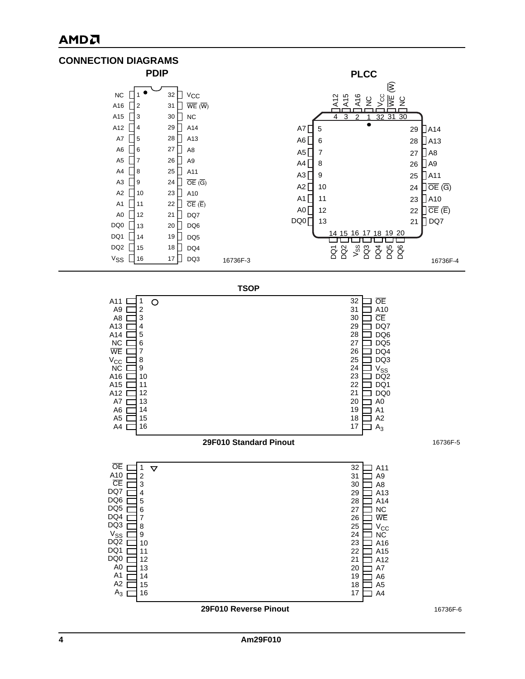## АМDЛ

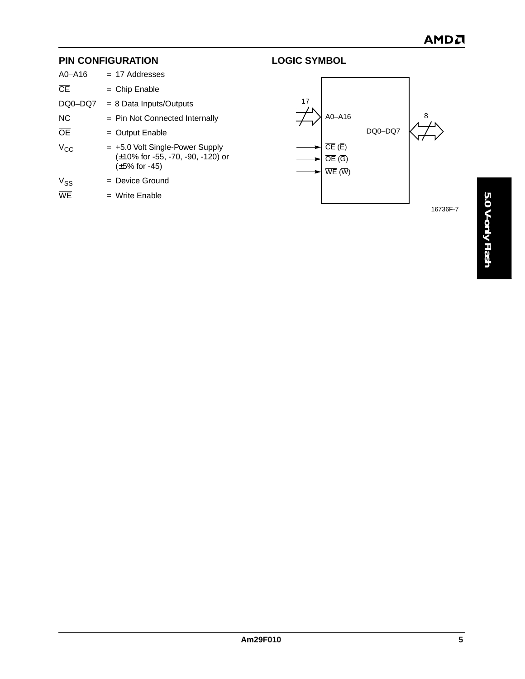## **PIN CONFIGURATION**

| $A0 - A16$             | $= 17$ Addresses                                                                                    |
|------------------------|-----------------------------------------------------------------------------------------------------|
| $\overline{\text{CE}}$ | $=$ Chip Enable                                                                                     |
| DQ0-DQ7                | $= 8$ Data Inputs/Outputs                                                                           |
| NC.                    | $=$ Pin Not Connected Internally                                                                    |
| ŌĒ                     | $=$ Output Enable                                                                                   |
| $V_{CC}$               | $= +5.0$ Volt Single-Power Supply<br>$(\pm 10\%$ for -55, -70, -90, -120) or<br>$(\pm 5\%$ for -45) |
| V <sub>SS</sub>        | $=$ Device Ground                                                                                   |
| $\overline{\text{WF}}$ | $=$ Write Enable                                                                                    |
|                        |                                                                                                     |



**LOGIC SYMBOL**

16736F-7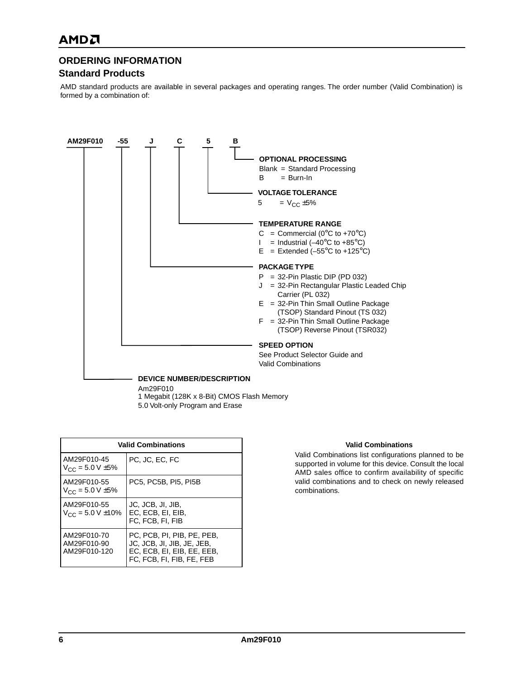## **ORDERING INFORMATION**

#### **Standard Products**

AMD standard products are available in several packages and operating ranges. The order number (Valid Combination) is formed by a combination of:



1 Megabit (128K x 8-Bit) CMOS Flash Memory 5.0 Volt-only Program and Erase

| <b>Valid Combinations</b>                  |                                                                                                                     |  |  |  |  |  |  |  |
|--------------------------------------------|---------------------------------------------------------------------------------------------------------------------|--|--|--|--|--|--|--|
| AM29F010-45<br>$V_{CC}$ = 5.0 V $\pm$ 5%   | PC. JC. EC. FC                                                                                                      |  |  |  |  |  |  |  |
| AM29F010-55<br>$V_{CC}$ = 5.0 V $\pm$ 5%   | PC5. PC5B. PI5. PI5B                                                                                                |  |  |  |  |  |  |  |
| AM29F010-55<br>$V_{CC}$ = 5.0 V ±10%       | JC, JCB, JI, JIB,<br>EC. ECB. EI. EIB.<br>FC. FCB. FI. FIB                                                          |  |  |  |  |  |  |  |
| AM29F010-70<br>AM29F010-90<br>AM29F010-120 | PC. PCB. PI. PIB. PE. PEB.<br>JC, JCB, JI, JIB, JE, JEB,<br>EC. ECB. EI. EIB. EE. EEB.<br>FC, FCB, FI, FIB, FE, FEB |  |  |  |  |  |  |  |

#### **Valid Combinations**

Valid Combinations list configurations planned to be supported in volume for this device. Consult the local AMD sales office to confirm availability of specific valid combinations and to check on newly released combinations.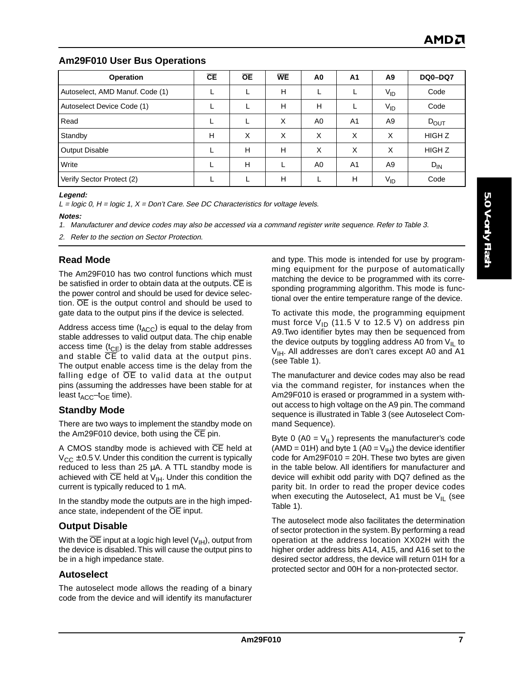## **Am29F010 User Bus Operations**

| Operation                       | CE | <b>OE</b> | <b>WE</b> | A0             | A <sub>1</sub> | A <sub>9</sub>  | <b>DQ0-DQ7</b>    |
|---------------------------------|----|-----------|-----------|----------------|----------------|-----------------|-------------------|
| Autoselect, AMD Manuf. Code (1) |    |           | Н         |                |                | $V_{ID}$        | Code              |
| Autoselect Device Code (1)      |    |           | H         | н              |                | $V_{ID}$        | Code              |
| Read                            |    |           | X         | A <sub>0</sub> | A <sub>1</sub> | A <sub>9</sub>  | $D_{\text{OUT}}$  |
| Standby                         | н  | X         | X         | X              | X              | X               | HIGH <sub>Z</sub> |
| Output Disable                  |    | Н         | н         | X              | X              | X               | HIGH Z            |
| Write                           |    | н         |           | A <sub>0</sub> | A <sub>1</sub> | A <sub>9</sub>  | $D_{IN}$          |
| Verify Sector Protect (2)       |    |           | H         |                | H              | V <sub>ID</sub> | Code              |

#### **Legend:**

 $L =$  logic 0, H = logic 1,  $X =$  Don't Care. See DC Characteristics for voltage levels.

#### **Notes:**

1. Manufacturer and device codes may also be accessed via a command register write sequence. Refer to Table 3.

2. Refer to the section on Sector Protection.

## **Read Mode**

The Am29F010 has two control functions which must be satisfied in order to obtain data at the outputs.  $\overline{\text{CE}}$  is the power control and should be used for device selection. OE is the output control and should be used to gate data to the output pins if the device is selected.

Address access time  $(t_{\text{ACC}})$  is equal to the delay from stable addresses to valid output data. The chip enable access time  $(t_{CE})$  is the delay from stable addresses and stable  $\overline{CE}$  to valid data at the output pins. The output enable access time is the delay from the falling edge of  $\overline{OE}$  to valid data at the output pins (assuming the addresses have been stable for at least  $t_{\text{ACC}}$ – $t_{\text{OE}}$  time).

#### **Standby Mode**

There are two ways to implement the standby mode on the Am29F010 device, both using the CE pin.

A CMOS standby mode is achieved with CE held at  $V_{\text{CC}}$   $\pm$  0.5 V. Under this condition the current is typically reduced to less than 25 µA. A TTL standby mode is achieved with  $\overline{CE}$  held at  $V_{\text{IH}}$ . Under this condition the current is typically reduced to 1 mA.

In the standby mode the outputs are in the high impedance state, independent of the OE input.

## **Output Disable**

With the  $\overline{OE}$  input at a logic high level  $(V_{H})$ , output from the device is disabled. This will cause the output pins to be in a high impedance state.

#### **Autoselect**

The autoselect mode allows the reading of a binary code from the device and will identify its manufacturer

and type. This mode is intended for use by programming equipment for the purpose of automatically matching the device to be programmed with its corresponding programming algorithm. This mode is functional over the entire temperature range of the device.

To activate this mode, the programming equipment must force  $V_{ID}$  (11.5 V to 12.5 V) on address pin A9.Two identifier bytes may then be sequenced from the device outputs by toggling address A0 from  $V_{\text{IL}}$  to  $V_{\text{IH}}$ . All addresses are don't cares except A0 and A1 (see Table 1).

The manufacturer and device codes may also be read via the command register, for instances when the Am29F010 is erased or programmed in a system without access to high voltage on the A9 pin. The command sequence is illustrated in Table 3 (see Autoselect Command Sequence).

Byte 0 (A0 =  $V_{\text{IL}}$ ) represents the manufacturer's code (AMD = 01H) and byte 1 (A0 =  $V_{H}$ ) the device identifier code for Am29F010 = 20H. These two bytes are given in the table below. All identifiers for manufacturer and device will exhibit odd parity with DQ7 defined as the parity bit. In order to read the proper device codes when executing the Autoselect, A1 must be  $V_{II}$  (see Table 1).

The autoselect mode also facilitates the determination of sector protection in the system. By performing a read operation at the address location XX02H with the higher order address bits A14, A15, and A16 set to the desired sector address, the device will return 01H for a protected sector and 00H for a non-protected sector.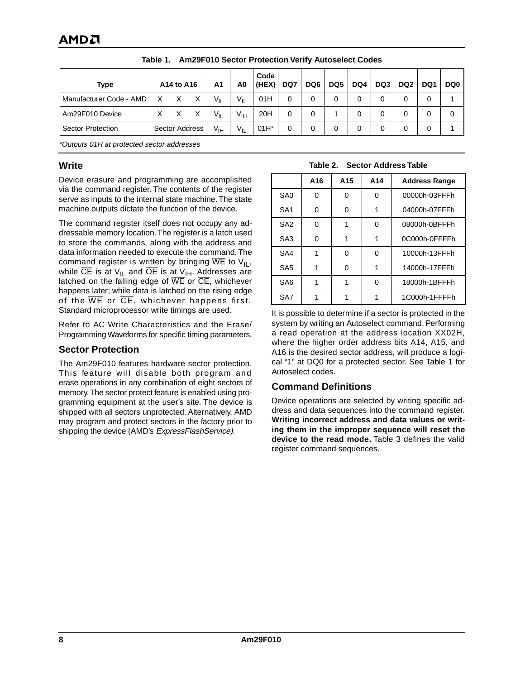| <b>Type</b>              | A14 to A16     |   | A1       | A0       | Code<br>(HEX)   | DQ7 | DQ6 | DQ <sub>5</sub> | DQ4 | DQ3 | DQ <sub>2</sub> | DQ <sub>1</sub> | DQ0 |   |
|--------------------------|----------------|---|----------|----------|-----------------|-----|-----|-----------------|-----|-----|-----------------|-----------------|-----|---|
| Manufacturer Code - AMD  | X              | Χ | X        | $V_{IL}$ | $V_{IL}$        | 01H | 0   |                 |     |     |                 | 0               | 0   |   |
| Am29F010 Device          | X              | X | X        | $V_{IL}$ | $V_{\text{IH}}$ | 20H | 0   |                 |     |     | 0               | 0               | 0   | 0 |
| <b>Sector Protection</b> | Sector Address |   | $V_{IH}$ | $V_{IL}$ | $01H^*$         |     |     |                 |     |     |                 | 0               |     |   |

**Table 1. Am29F010 Sector Protection Verify Autoselect Codes**

\*Outputs 01H at protected sector addresses

#### **Write**

Device erasure and programming are accomplished via the command register. The contents of the register serve as inputs to the internal state machine. The state machine outputs dictate the function of the device.

The command register itself does not occupy any addressable memory location. The register is a latch used to store the commands, along with the address and data information needed to execute the command. The command register is written by bringing  $\overline{WE}$  to  $V_{\text{II}}$ , while  $\overline{CE}$  is at V<sub>IL</sub> and  $\overline{OE}$  is at V<sub>IH</sub>. Addresses are latched on the falling edge of  $\overline{WE}$  or  $\overline{CE}$ , whichever happens later; while data is latched on the rising edge of the  $\overline{WE}$  or  $\overline{CE}$ , whichever happens first. Standard microprocessor write timings are used.

Refer to AC Write Characteristics and the Erase/ Programming Waveforms for specific timing parameters.

#### **Sector Protection**

The Am29F010 features hardware sector protection. This feature will disable both program and erase operations in any combination of eight sectors of memory. The sector protect feature is enabled using programming equipment at the user's site. The device is shipped with all sectors unprotected. Alternatively, AMD may program and protect sectors in the factory prior to shipping the device (AMD's ExpressFlashService).

#### **Table 2. Sector Address Table**

|                 | A16 | A <sub>15</sub> | A14 | <b>Address Range</b> |
|-----------------|-----|-----------------|-----|----------------------|
| SA <sub>0</sub> | O   | ŋ               | 0   | 00000h-03FFFh        |
| SA <sub>1</sub> |     | U               |     | 04000h-07FFFh        |
| SA <sub>2</sub> | O   |                 | ი   | 08000h-0BFFFh        |
| SA <sub>3</sub> | U   |                 |     | 0C000h-0FFFFh        |
| SA4             |     | ŋ               | 0   | 10000h-13FFFh        |
| SA <sub>5</sub> |     | ŋ               |     | 14000h-17FFFh        |
| SA <sub>6</sub> |     |                 | ი   | 18000h-1BFFFh        |
| SA7             |     |                 |     | 1C000h-1FFFFh        |

It is possible to determine if a sector is protected in the system by writing an Autoselect command. Performing a read operation at the address location XX02H, where the higher order address bits A14, A15, and A16 is the desired sector address, will produce a logical "1" at DQ0 for a protected sector. See Table 1 for Autoselect codes.

## **Command Definitions**

Device operations are selected by writing specific address and data sequences into the command register. **Writing incorrect address and data values or writing them in the improper sequence will reset the device to the read mode.** Table 3 defines the valid register command sequences.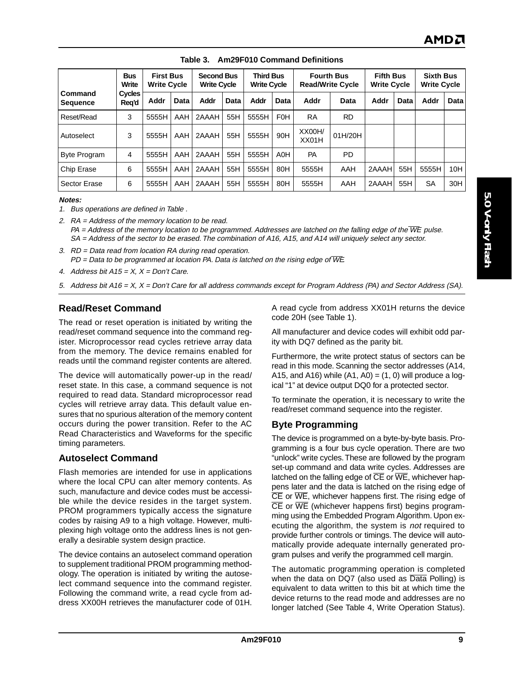|                         | <b>Bus</b><br>Write    | <b>First Bus</b><br><b>Write Cycle</b> |             | <b>Second Bus</b><br><b>Write Cycle</b> |      | <b>Third Bus</b><br><b>Write Cycle</b> |                  | <b>Fourth Bus</b><br><b>Read/Write Cycle</b> |           | <b>Fifth Bus</b><br><b>Write Cycle</b> |      | <b>Sixth Bus</b><br><b>Write Cycle</b> |             |
|-------------------------|------------------------|----------------------------------------|-------------|-----------------------------------------|------|----------------------------------------|------------------|----------------------------------------------|-----------|----------------------------------------|------|----------------------------------------|-------------|
| l Command<br>  Sequence | <b>Cycles</b><br>Req'd | Addr                                   | <b>Data</b> | Addr                                    | Data | Addr                                   | Data             | Addr                                         | Data      | Addr                                   | Data | Addr                                   | <b>Data</b> |
| l Reset/Read            | 3                      | 5555H                                  | AAH         | 2AAAH                                   | 55H  | 5555H                                  | F <sub>0</sub> H | <b>RA</b>                                    | <b>RD</b> |                                        |      |                                        |             |
| l Autoselect            | 3                      | 5555H                                  | AAH         | 2AAAH                                   | 55H  | 5555H                                  | 90H              | XX00H/<br>XX01H                              | 01H/20H   |                                        |      |                                        |             |
| Byte Program            | 4                      | 5555H                                  | AAH         | 2AAAH                                   | 55H  | 5555H                                  | A0H              | <b>PA</b>                                    | <b>PD</b> |                                        |      |                                        |             |
| Chip Erase              | 6                      | 5555H                                  | AAH         | 2AAAH                                   | 55H  | 5555H                                  | 80H              | 5555H                                        | AAH       | 2AAAH                                  | 55H  | 5555H                                  | 10H         |
| l Sector Erase          | 6                      | 5555H                                  | AAH         | 2AAAH                                   | 55H  | 5555H                                  | 80H              | 5555H                                        | AAH       | 2AAAH                                  | 55H  | SA                                     | 30H         |

#### **Table 3. Am29F010 Command Definitions**

**Notes:**

1. Bus operations are defined in Table .

2. RA = Address of the memory location to be read.

 $PA = Address$  of the memory location to be programmed. Addresses are latched on the falling edge of the  $\overline{WE}$  pulse. SA = Address of the sector to be erased. The combination of A16, A15, and A14 will uniquely select any sector.

3. RD = Data read from location RA during read operation.  $PD = Data$  to be programmed at location PA. Data is latched on the rising edge of  $\overline{WE}$ .

4. Address bit  $A15 = X$ ,  $X = Don't$  Care.

5. Address bit A16 = X, X = Don't Care for all address commands except for Program Address (PA) and Sector Address (SA).

#### **Read/Reset Command**

The read or reset operation is initiated by writing the read/reset command sequence into the command register. Microprocessor read cycles retrieve array data from the memory. The device remains enabled for reads until the command register contents are altered.

The device will automatically power-up in the read/ reset state. In this case, a command sequence is not required to read data. Standard microprocessor read cycles will retrieve array data. This default value ensures that no spurious alteration of the memory content occurs during the power transition. Refer to the AC Read Characteristics and Waveforms for the specific timing parameters.

#### **Autoselect Command**

Flash memories are intended for use in applications where the local CPU can alter memory contents. As such, manufacture and device codes must be accessible while the device resides in the target system. PROM programmers typically access the signature codes by raising A9 to a high voltage. However, multiplexing high voltage onto the address lines is not generally a desirable system design practice.

The device contains an autoselect command operation to supplement traditional PROM programming methodology. The operation is initiated by writing the autoselect command sequence into the command register. Following the command write, a read cycle from address XX00H retrieves the manufacturer code of 01H.

A read cycle from address XX01H returns the device code 20H (see Table 1).

All manufacturer and device codes will exhibit odd parity with DQ7 defined as the parity bit.

Furthermore, the write protect status of sectors can be read in this mode. Scanning the sector addresses (A14, A15, and A16) while  $(A1, A0) = (1, 0)$  will produce a logical "1" at device output DQ0 for a protected sector.

To terminate the operation, it is necessary to write the read/reset command sequence into the register.

#### **Byte Programming**

The device is programmed on a byte-by-byte basis. Programming is a four bus cycle operation. There are two "unlock" write cycles. These are followed by the program set-up command and data write cycles. Addresses are latched on the falling edge of  $\overline{\text{CE}}$  or  $\overline{\text{WE}}$ , whichever happens later and the data is latched on the rising edge of  $\overline{CE}$  or  $\overline{WE}$ , whichever happens first. The rising edge of  $\overline{CE}$  or  $\overline{WE}$  (whichever happens first) begins programming using the Embedded Program Algorithm. Upon executing the algorithm, the system is not required to provide further controls or timings. The device will automatically provide adequate internally generated program pulses and verify the programmed cell margin.

The automatic programming operation is completed when the data on DQ7 (also used as Data Polling) is equivalent to data written to this bit at which time the device returns to the read mode and addresses are no longer latched (See Table 4, Write Operation Status).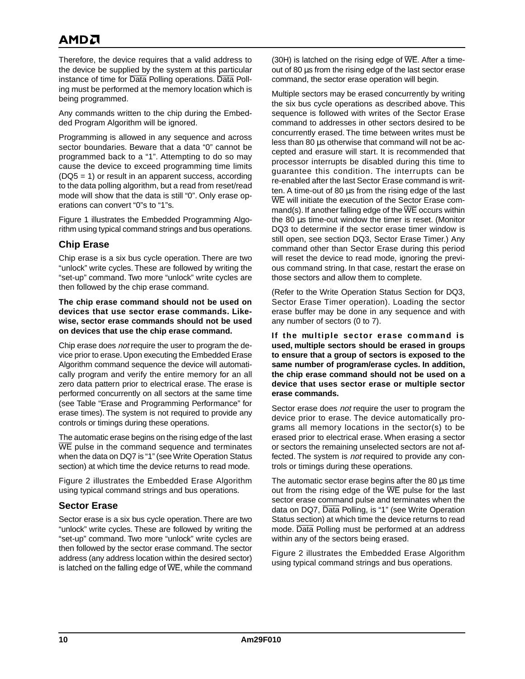# AMDA

Therefore, the device requires that a valid address to the device be supplied by the system at this particular instance of time for Data Polling operations. Data Polling must be performed at the memory location which is being programmed.

Any commands written to the chip during the Embedded Program Algorithm will be ignored.

Programming is allowed in any sequence and across sector boundaries. Beware that a data "0" cannot be programmed back to a "1". Attempting to do so may cause the device to exceed programming time limits (DQ5 = 1) or result in an apparent success, according to the data polling algorithm, but a read from reset/read mode will show that the data is still "0". Only erase operations can convert "0"s to "1"s.

Figure 1 illustrates the Embedded Programming Algorithm using typical command strings and bus operations.

## **Chip Erase**

Chip erase is a six bus cycle operation. There are two "unlock" write cycles. These are followed by writing the "set-up" command. Two more "unlock" write cycles are then followed by the chip erase command.

**The chip erase command should not be used on devices that use sector erase commands. Likewise, sector erase commands should not be used on devices that use the chip erase command.**

Chip erase does not require the user to program the device prior to erase. Upon executing the Embedded Erase Algorithm command sequence the device will automatically program and verify the entire memory for an all zero data pattern prior to electrical erase. The erase is performed concurrently on all sectors at the same time (see Table "Erase and Programming Performance" for erase times). The system is not required to provide any controls or timings during these operations.

The automatic erase begins on the rising edge of the last WE pulse in the command sequence and terminates when the data on DQ7 is "1" (see Write Operation Status section) at which time the device returns to read mode.

Figure 2 illustrates the Embedded Erase Algorithm using typical command strings and bus operations.

## **Sector Erase**

Sector erase is a six bus cycle operation. There are two "unlock" write cycles. These are followed by writing the "set-up" command. Two more "unlock" write cycles are then followed by the sector erase command. The sector address (any address location within the desired sector) is latched on the falling edge of  $\overline{\text{WE}}$ , while the command

(30H) is latched on the rising edge of  $\overline{\text{WE}}$ . After a timeout of 80 µs from the rising edge of the last sector erase command, the sector erase operation will begin.

Multiple sectors may be erased concurrently by writing the six bus cycle operations as described above. This sequence is followed with writes of the Sector Erase command to addresses in other sectors desired to be concurrently erased. The time between writes must be less than 80 µs otherwise that command will not be accepted and erasure will start. It is recommended that processor interrupts be disabled during this time to guarantee this condition. The interrupts can be re-enabled after the last Sector Erase command is written. A time-out of 80 µs from the rising edge of the last WE will initiate the execution of the Sector Erase command(s). If another falling edge of the  $\overline{WE}$  occurs within the 80 µs time-out window the timer is reset. (Monitor DQ3 to determine if the sector erase timer window is still open, see section DQ3, Sector Erase Timer.) Any command other than Sector Erase during this period will reset the device to read mode, ignoring the previous command string. In that case, restart the erase on those sectors and allow them to complete.

(Refer to the Write Operation Status Section for DQ3, Sector Erase Timer operation). Loading the sector erase buffer may be done in any sequence and with any number of sectors (0 to 7).

**If the multiple sector erase command is used, multiple sectors should be erased in groups to ensure that a group of sectors is exposed to the same number of program/erase cycles. In addition, the chip erase command should not be used on a device that uses sector erase or multiple sector erase commands.**

Sector erase does not require the user to program the device prior to erase. The device automatically programs all memory locations in the sector(s) to be erased prior to electrical erase. When erasing a sector or sectors the remaining unselected sectors are not affected. The system is not required to provide any controls or timings during these operations.

The automatic sector erase begins after the 80 µs time out from the rising edge of the  $\overline{WE}$  pulse for the last sector erase command pulse and terminates when the data on DQ7, Data Polling, is "1" (see Write Operation Status section) at which time the device returns to read mode. Data Polling must be performed at an address within any of the sectors being erased.

Figure 2 illustrates the Embedded Erase Algorithm using typical command strings and bus operations.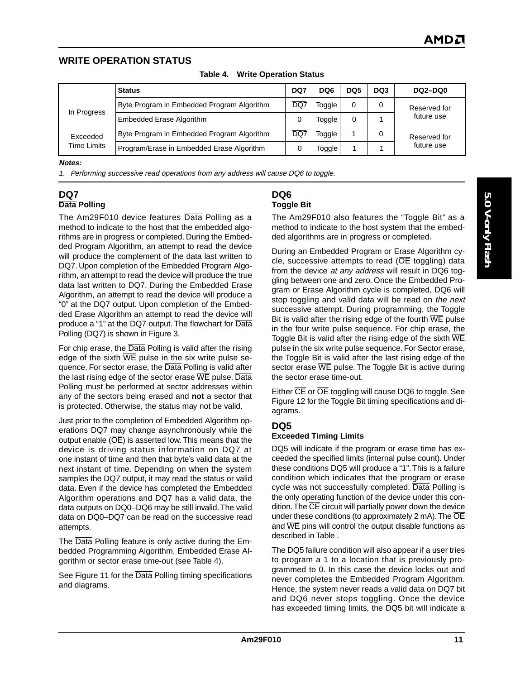## **WRITE OPERATION STATUS**

|                         | <b>Status</b>                              | DQ7 | DQ <sub>6</sub> | DQ <sub>5</sub> | DQ3 | <b>DQ2-DQ0</b> |
|-------------------------|--------------------------------------------|-----|-----------------|-----------------|-----|----------------|
| In Progress             | Byte Program in Embedded Program Algorithm | DQ7 | Toggle          | 0               | 0   | Reserved for   |
|                         | <b>Embedded Erase Algorithm</b>            | 0   | Toggle          |                 |     | future use     |
| Exceeded<br>Time Limits | Byte Program in Embedded Program Algorithm | DQ7 | Toggle          |                 | 0   | Reserved for   |
|                         | Program/Erase in Embedded Erase Algorithm  |     | Toggle          |                 |     | future use     |

**Table 4. Write Operation Status**

#### **Notes:**

1. Performing successive read operations from any address will cause DQ6 to toggle.

#### **DQ7 Data Polling**

The Am29F010 device features Data Polling as a method to indicate to the host that the embedded algorithms are in progress or completed. During the Embedded Program Algorithm, an attempt to read the device will produce the complement of the data last written to DQ7. Upon completion of the Embedded Program Algorithm, an attempt to read the device will produce the true data last written to DQ7. During the Embedded Erase Algorithm, an attempt to read the device will produce a "0" at the DQ7 output. Upon completion of the Embedded Erase Algorithm an attempt to read the device will produce a "1" at the DQ7 output. The flowchart for Data Polling (DQ7) is shown in Figure 3.

For chip erase, the Data Polling is valid after the rising edge of the sixth  $\overline{\text{WE}}$  pulse in the six write pulse sequence. For sector erase, the Data Polling is valid after the last rising edge of the sector erase WE pulse. Data Polling must be performed at sector addresses within any of the sectors being erased and **not** a sector that is protected. Otherwise, the status may not be valid.

Just prior to the completion of Embedded Algorithm operations DQ7 may change asynchronously while the output enable  $(\overline{OE})$  is asserted low. This means that the device is driving status information on DQ7 at one instant of time and then that byte's valid data at the next instant of time. Depending on when the system samples the DQ7 output, it may read the status or valid data. Even if the device has completed the Embedded Algorithm operations and DQ7 has a valid data, the data outputs on DQ0–DQ6 may be still invalid. The valid data on DQ0–DQ7 can be read on the successive read attempts.

The Data Polling feature is only active during the Embedded Programming Algorithm, Embedded Erase Algorithm or sector erase time-out (see Table 4).

See Figure 11 for the Data Polling timing specifications and diagrams.

#### **DQ6 Toggle Bit**

The Am29F010 also features the "Toggle Bit" as a method to indicate to the host system that the embedded algorithms are in progress or completed.

During an Embedded Program or Erase Algorithm cycle, successive attempts to read ( $\overline{OE}$  toggling) data from the device at any address will result in DQ6 toggling between one and zero. Once the Embedded Program or Erase Algorithm cycle is completed, DQ6 will stop toggling and valid data will be read on the next successive attempt. During programming, the Toggle Bit is valid after the rising edge of the fourth  $\overline{WE}$  pulse in the four write pulse sequence. For chip erase, the Toggle Bit is valid after the rising edge of the sixth  $\overline{\text{WE}}$ pulse in the six write pulse sequence. For Sector erase, the Toggle Bit is valid after the last rising edge of the sector erase WE pulse. The Toggle Bit is active during the sector erase time-out.

Either CE or OE toggling will cause DQ6 to toggle. See Figure 12 for the Toggle Bit timing specifications and diagrams.

#### **DQ5**

#### **Exceeded Timing Limits**

DQ5 will indicate if the program or erase time has exceeded the specified limits (internal pulse count). Under these conditions DQ5 will produce a "1". This is a failure condition which indicates that the program or erase cycle was not successfully completed. Data Polling is the only operating function of the device under this condition. The  $\overline{\text{CE}}$  circuit will partially power down the device under these conditions (to approximately  $2 \text{ mA}$ ). The  $\overline{OE}$ and WE pins will control the output disable functions as described in Table .

The DQ5 failure condition will also appear if a user tries to program a 1 to a location that is previously programmed to 0. In this case the device locks out and never completes the Embedded Program Algorithm. Hence, the system never reads a valid data on DQ7 bit and DQ6 never stops toggling. Once the device has exceeded timing limits, the DQ5 bit will indicate a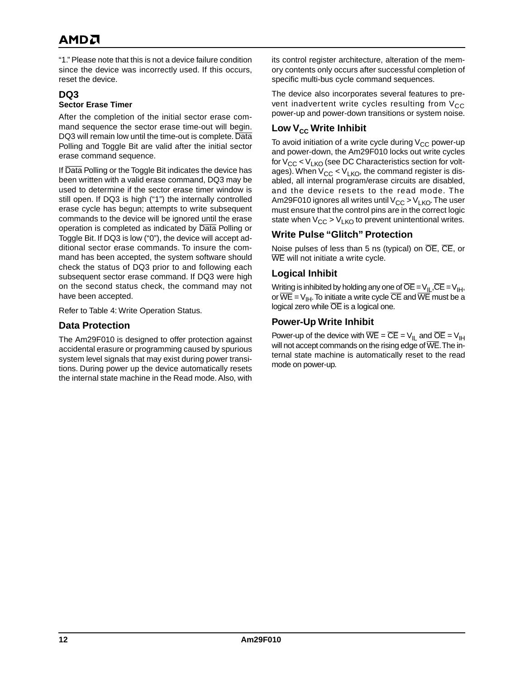# AMDA

"1." Please note that this is not a device failure condition since the device was incorrectly used. If this occurs, reset the device.

#### **DQ3 Sector Erase Timer**

After the completion of the initial sector erase command sequence the sector erase time-out will begin. DQ3 will remain low until the time-out is complete. Data Polling and Toggle Bit are valid after the initial sector erase command sequence.

If Data Polling or the Toggle Bit indicates the device has been written with a valid erase command, DQ3 may be used to determine if the sector erase timer window is still open. If DQ3 is high ("1") the internally controlled erase cycle has begun; attempts to write subsequent commands to the device will be ignored until the erase operation is completed as indicated by Data Polling or Toggle Bit. If DQ3 is low ("0"), the device will accept additional sector erase commands. To insure the command has been accepted, the system software should check the status of DQ3 prior to and following each subsequent sector erase command. If DQ3 were high on the second status check, the command may not have been accepted.

Refer to Table 4: Write Operation Status.

## **Data Protection**

The Am29F010 is designed to offer protection against accidental erasure or programming caused by spurious system level signals that may exist during power transitions. During power up the device automatically resets the internal state machine in the Read mode. Also, with its control register architecture, alteration of the memory contents only occurs after successful completion of specific multi-bus cycle command sequences.

The device also incorporates several features to prevent inadvertent write cycles resulting from  $V_{CC}$ power-up and power-down transitions or system noise.

## **Low V<sub>cc</sub> Write Inhibit**

To avoid initiation of a write cycle during  $V_{CC}$  power-up and power-down, the Am29F010 locks out write cycles for  $V_{CC}$  <  $V_{LKO}$  (see DC Characteristics section for voltages). When  $V_{CC}$  <  $V_{LKO}$ , the command register is disabled, all internal program/erase circuits are disabled, and the device resets to the read mode. The Am29F010 ignores all writes until  $V_{CC} > V_{LKO}$ . The user must ensure that the control pins are in the correct logic state when  $V_{CC}$  >  $V_{LKO}$  to prevent unintentional writes.

## **Write Pulse "Glitch" Protection**

Noise pulses of less than 5 ns (typical) on OE, CE, or WE will not initiate a write cycle.

## **Logical Inhibit**

Writing is inhibited by holding any one of  $\overline{OE} = V_{II}$ ,  $\overline{CE} = V_{IH}$ , or  $\overline{WE} = V_{IH}$ . To initiate a write cycle  $\overline{CE}$  and  $\overline{WE}$  must be a logical zero while OE is a logical one.

## **Power-Up Write Inhibit**

Power-up of the device with  $\overline{WE} = \overline{CE} = V_{II}$  and  $\overline{OE} = V_{IH}$ will not accept commands on the rising edge of  $\overline{\text{WE}}$ . The internal state machine is automatically reset to the read mode on power-up.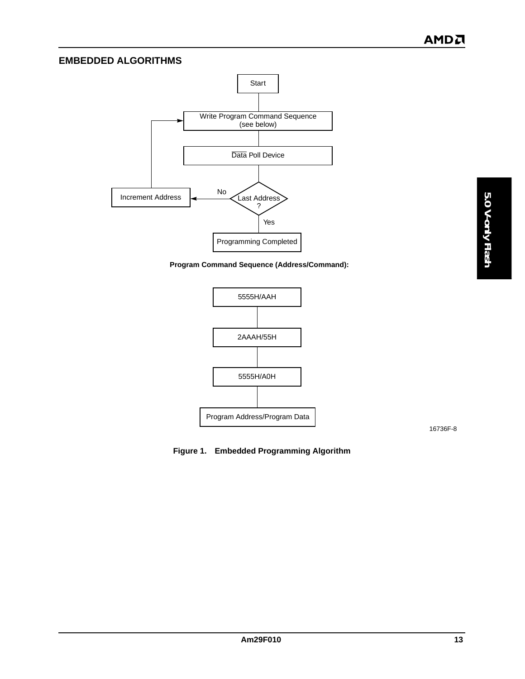## **EMBEDDED ALGORITHMS**



**Program Command Sequence (Address/Command):**



16736F-8

**Figure 1. Embedded Programming Algorithm**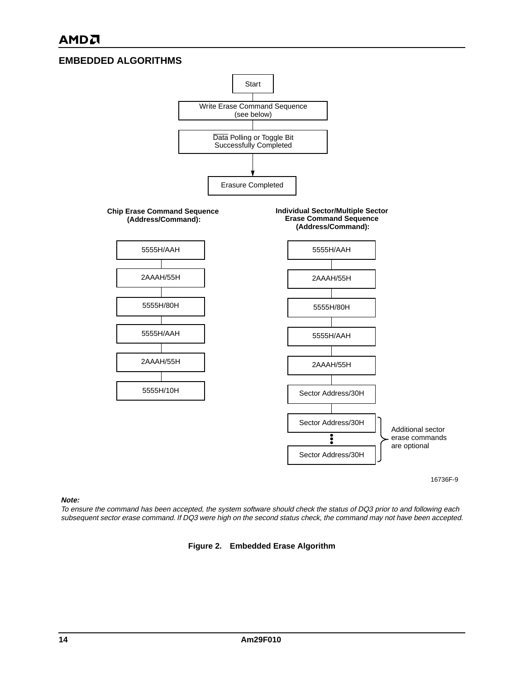## **EMBEDDED ALGORITHMS**



16736F-9

#### **Note:**

To ensure the command has been accepted, the system software should check the status of DQ3 prior to and following each subsequent sector erase command. If DQ3 were high on the second status check, the command may not have been accepted.

#### **Figure 2. Embedded Erase Algorithm**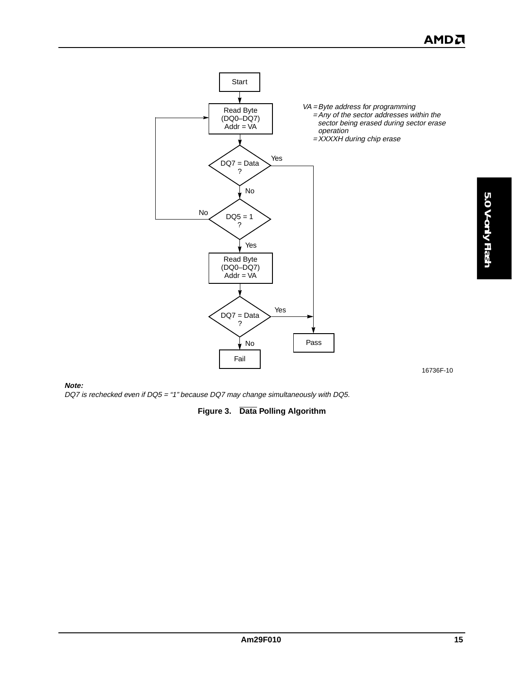

**Note:**

DQ7 is rechecked even if DQ5 = "1" because DQ7 may change simultaneously with DQ5.

#### **Figure 3. Data Polling Algorithm**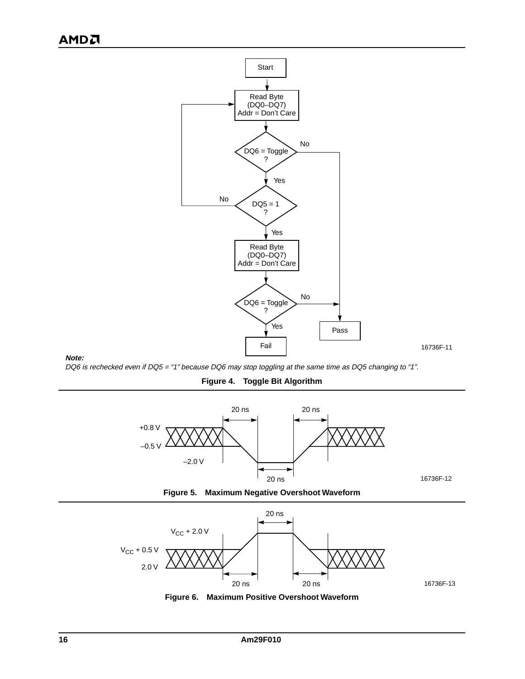

#### **Note:**

DQ6 is rechecked even if DQ5 = "1" because DQ6 may stop toggling at the same time as DQ5 changing to "1".

**Figure 4. Toggle Bit Algorithm**







**Figure 6. Maximum Positive Overshoot Waveform**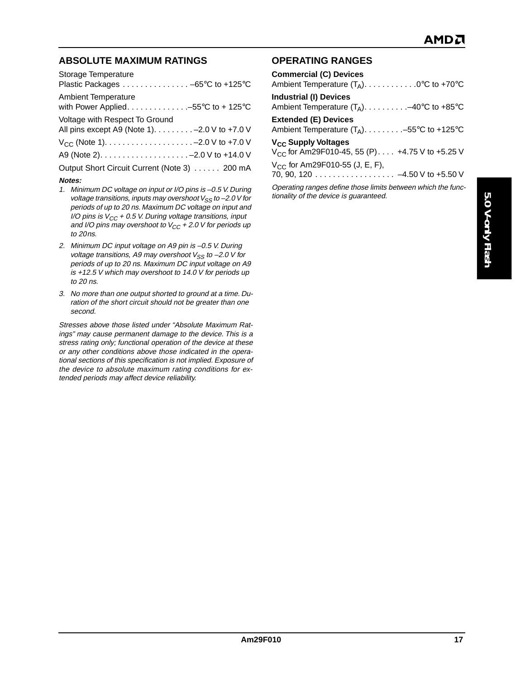## **ABSOLUTE MAXIMUM RATINGS**

| Storage Temperature<br>Plastic Packages -65°C to +125°C                          |
|----------------------------------------------------------------------------------|
| <b>Ambient Temperature</b>                                                       |
| Voltage with Respect To Ground<br>All pins except A9 (Note 1). - 2.0 V to +7.0 V |
|                                                                                  |
|                                                                                  |
| Output Short Circuit Current (Note 3) 200 mA                                     |
| Notes:                                                                           |

- 1. Minimum DC voltage on input or I/O pins is –0.5 V. During voltage transitions, inputs may overshoot  $V_{SS}$  to -2.0 V for periods of up to 20 ns. Maximum DC voltage on input and I/O pins is  $V_{CC}$  + 0.5 V. During voltage transitions, input and I/O pins may overshoot to  $V_{CC}$  + 2.0 V for periods up to 20ns.
- 2. Minimum DC input voltage on A9 pin is –0.5 V. During voltage transitions, A9 may overshoot  $V_{SS}$  to -2.0 V for periods of up to 20 ns. Maximum DC input voltage on A9 is +12.5 V which may overshoot to 14.0 V for periods up to 20 ns.
- 3. No more than one output shorted to ground at a time. Duration of the short circuit should not be greater than one second.

Stresses above those listed under "Absolute Maximum Ratings" may cause permanent damage to the device. This is a stress rating only; functional operation of the device at these or any other conditions above those indicated in the operational sections of this specification is not implied. Exposure of the device to absolute maximum rating conditions for extended periods may affect device reliability.

## **OPERATING RANGES**

| <b>Commercial (C) Devices</b><br>Ambient Temperature $(T_A)$ 0°C to +70°C                              |
|--------------------------------------------------------------------------------------------------------|
| <b>Industrial (I) Devices</b><br>Ambient Temperature $(T_A)$ -40°C to +85°C                            |
| <b>Extended (E) Devices</b><br>Ambient Temperature $(T_A)$ -55°C to +125°C                             |
| V <sub>CC</sub> Supply Voltages<br>$V_{CC}$ for Am29F010-45, 55 (P) +4.75 V to +5.25 V                 |
| $V_{CC}$ for Am29F010-55 (J, E, F),<br>70, 90, 120 4.50 V to +5.50 V                                   |
| Operating ranges define those limits between which the func-<br>tionality of the device is guaranteed. |
|                                                                                                        |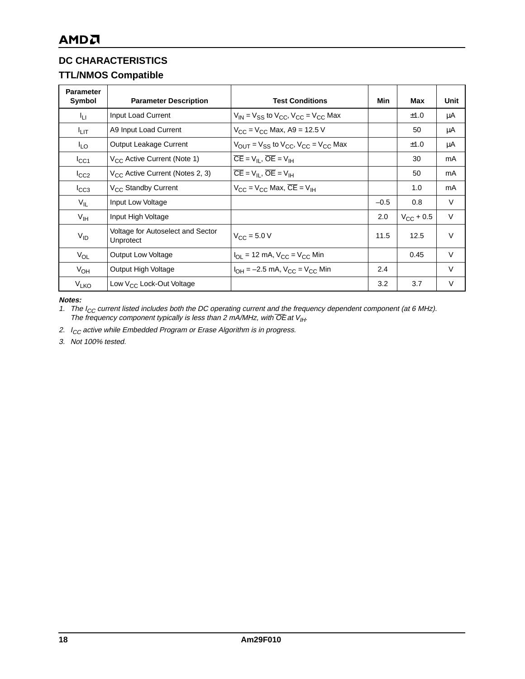## **DC CHARACTERISTICS**

## **TTL/NMOS Compatible**

| <b>Parameter</b><br>Symbol | <b>Parameter Description</b>                   | <b>Test Conditions</b>                                                | Min    | Max                | Unit   |
|----------------------------|------------------------------------------------|-----------------------------------------------------------------------|--------|--------------------|--------|
| Чu.                        | Input Load Current                             | $V_{IN}$ = $V_{SS}$ to $V_{CC}$ , $V_{CC}$ = $V_{CC}$ Max             |        | ±1.0               | μA     |
| <sup>I</sup> LIT           | A9 Input Load Current                          | $V_{CC} = V_{CC}$ Max, A9 = 12.5 V                                    |        | 50                 | μA     |
| $I_{LO}$                   | Output Leakage Current                         | $V_{OUIT}$ = $V_{SS}$ to $V_{CC}$ , $V_{CC}$ = $V_{CC}$ Max           |        | ±1.0               | μA     |
| ICC1                       | V <sub>CC</sub> Active Current (Note 1)        | $\overline{CE} = V_{II}$ , $\overline{OE} = V_{IH}$                   |        | 30                 | mA     |
| $I_{CC2}$                  | $V_{CC}$ Active Current (Notes 2, 3)           | $\overline{CE} = V_{II}$ , $\overline{OE} = V_{IH}$                   |        | 50                 | mA     |
| $I_{CC3}$                  | V <sub>CC</sub> Standby Current                | $V_{CC}$ = $V_{CC}$ Max, $\overline{CE}$ = $V_{IH}$                   |        | 1.0                | mA     |
| $V_{IL}$                   | Input Low Voltage                              |                                                                       | $-0.5$ | 0.8                | $\vee$ |
| V <sub>IH</sub>            | Input High Voltage                             |                                                                       | 2.0    | $V_{\rm CC}$ + 0.5 | $\vee$ |
| $V_{ID}$                   | Voltage for Autoselect and Sector<br>Unprotect | $V_{\rm CC}$ = 5.0 V                                                  | 11.5   | 12.5               | $\vee$ |
| $V_{OL}$                   | <b>Output Low Voltage</b>                      | $I_{\text{OI}} = 12 \text{ mA}$ , $V_{\text{CC}} = V_{\text{CC}}$ Min |        | 0.45               | $\vee$ |
| $V_{OH}$                   | Output High Voltage                            | $I_{OH} = -2.5$ mA, $V_{CC} = V_{CC}$ Min                             | 2.4    |                    | $\vee$ |
| <b>V<sub>LKO</sub></b>     | Low $V_{CC}$ Lock-Out Voltage                  |                                                                       | 3.2    | 3.7                | V      |

**Notes:**

1. The I<sub>CC</sub> current listed includes both the DC operating current and the frequency dependent component (at 6 MHz). The frequency component typically is less than 2 mA/MHz, with OE at  $V_{II}$ .

2.  $I_{CC}$  active while Embedded Program or Erase Algorithm is in progress.

3. Not 100% tested.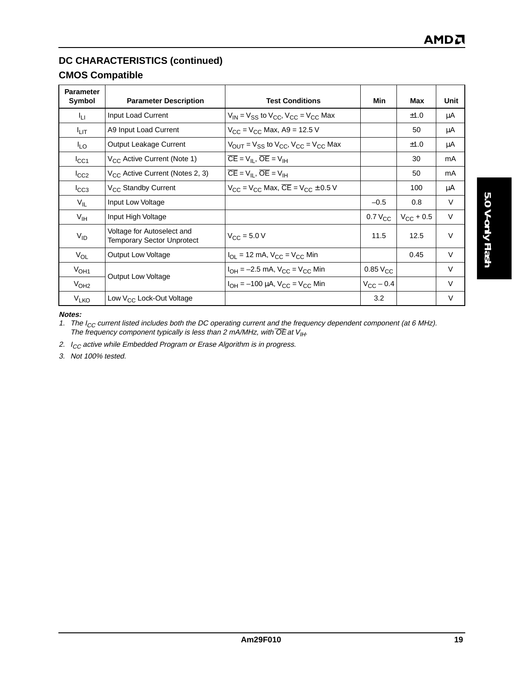## **DC CHARACTERISTICS (continued)**

## **CMOS Compatible**

| <b>Parameter</b><br>Symbol | <b>Parameter Description</b>                                    | <b>Test Conditions</b>                                      | Min                | Max                | Unit   |
|----------------------------|-----------------------------------------------------------------|-------------------------------------------------------------|--------------------|--------------------|--------|
| կ լ                        | Input Load Current                                              | $V_{IN}$ = $V_{SS}$ to $V_{CC}$ , $V_{CC}$ = $V_{CC}$ Max   |                    | ±1.0               | μA     |
| <sup>I</sup> LIT           | A9 Input Load Current                                           | $V_{CC}$ = $V_{CC}$ Max, A9 = 12.5 V                        |                    | 50                 | μA     |
| $I_{LO}$                   | Output Leakage Current                                          | $V_{OUIT}$ = $V_{SS}$ to $V_{CC}$ , $V_{CC}$ = $V_{CC}$ Max |                    | ±1.0               | μA     |
| $I_{\rm CC1}$              | V <sub>CC</sub> Active Current (Note 1)                         | $\overline{CE} = V_{II}$ , $\overline{OE} = V_{IH}$         |                    | 30                 | mA     |
| $I_{CC2}$                  | V <sub>CC</sub> Active Current (Notes 2, 3)                     | $\overline{CE} = V_{II}$ , $\overline{OE} = V_{IH}$         |                    | 50                 | mA     |
| $I_{CC3}$                  | V <sub>CC</sub> Standby Current                                 | $V_{CC}$ = $V_{CC}$ Max, $\overline{CE}$ = $V_{CC}$ ± 0.5 V |                    | 100                | μA     |
| $V_{IL}$                   | Input Low Voltage                                               |                                                             | $-0.5$             | 0.8                | V      |
| V <sub>IH</sub>            | Input High Voltage                                              |                                                             | $0.7 V_{CC}$       | $V_{\rm CC}$ + 0.5 | $\vee$ |
| $V_{ID}$                   | Voltage for Autoselect and<br><b>Temporary Sector Unprotect</b> | $V_{\text{C}C} = 5.0 V$                                     | 11.5               | 12.5               | $\vee$ |
| $V_{OL}$                   | <b>Output Low Voltage</b>                                       | $I_{OL}$ = 12 mA, $V_{CC}$ = $V_{CC}$ Min                   |                    | 0.45               | $\vee$ |
| V <sub>OH1</sub>           |                                                                 | $I_{OH} = -2.5$ mA, $V_{CC} = V_{CC}$ Min                   | $0.85\ VCC$        |                    | $\vee$ |
| V <sub>OH2</sub>           | Output Low Voltage                                              | $I_{OH} = -100 \mu A$ , $V_{CC} = V_{CC}$ Min               | $V_{\rm CC}$ – 0.4 |                    | $\vee$ |
| V <sub>LKO</sub>           | Low V <sub>CC</sub> Lock-Out Voltage                            |                                                             | 3.2                |                    | V      |

**Notes:**

1. The I<sub>CC</sub> current listed includes both the DC operating current and the frequency dependent component (at 6 MHz). The frequency component typically is less than 2 mA/MHz, with OE at  $V_{II}$ .

2.  $I_{CC}$  active while Embedded Program or Erase Algorithm is in progress.

3. Not 100% tested.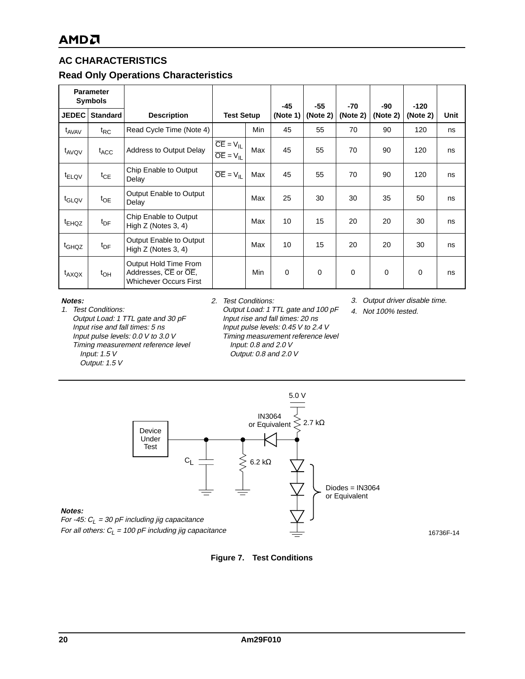## **AC CHARACTERISTICS**

## **Read Only Operations Characteristics**

| <b>Parameter</b><br><b>Symbols</b> |                  |                                                                                |                                                      |     | $-45$       | $-55$       | -70      | -90      | $-120$      |      |
|------------------------------------|------------------|--------------------------------------------------------------------------------|------------------------------------------------------|-----|-------------|-------------|----------|----------|-------------|------|
| JEDEC <sup>1</sup>                 | <b>Standard</b>  | <b>Description</b>                                                             | <b>Test Setup</b>                                    |     | (Note 1)    | (Note 2)    | (Note 2) | (Note 2) | (Note 2)    | Unit |
| t <sub>AVAV</sub>                  | $t_{RC}$         | Read Cycle Time (Note 4)                                                       |                                                      | Min | 45          | 55          | 70       | 90       | 120         | ns   |
| t <sub>AVQV</sub>                  | $t_{\text{ACC}}$ | Address to Output Delay                                                        | $\overline{CE} = V_{IL}$<br>$\overline{OE} = V_{IL}$ | Max | 45          | 55          | 70       | 90       | 120         | ns   |
| <sup>t</sup> ELQV                  | $t_{CE}$         | Chip Enable to Output<br>Delay                                                 | $\overline{OE} = V_{II}$                             | Max | 45          | 55          | 70       | 90       | 120         | ns   |
| t <sub>GLQV</sub>                  | $t_{OE}$         | Output Enable to Output<br>Delay                                               |                                                      | Max | 25          | 30          | 30       | 35       | 50          | ns   |
| <sup>t</sup> EHQZ                  | $t_{\text{DF}}$  | Chip Enable to Output<br>High Z (Notes 3, 4)                                   |                                                      | Max | 10          | 15          | 20       | 20       | 30          | ns   |
| t <sub>GHQZ</sub>                  | $t_{\text{DF}}$  | <b>Output Enable to Output</b><br>High Z (Notes 3, 4)                          |                                                      | Max | 10          | 15          | 20       | 20       | 30          | ns   |
| $t_{AXQX}$                         | $t_{OH}$         | Output Hold Time From<br>Addresses, CE or OE,<br><b>Whichever Occurs First</b> |                                                      | Min | $\mathbf 0$ | $\mathbf 0$ | 0        | 0        | $\mathbf 0$ | ns   |

#### **Notes:**

1. Test Conditions: Output Load: 1 TTL gate and 30 pF Input rise and fall times: 5 ns Input pulse levels: 0.0 V to 3.0 V Timing measurement reference level Input: 1.5 V Output: 1.5 V

#### 2. Test Conditions:

Output Load: 1 TTL gate and 100 pF Input rise and fall times: 20 ns Input pulse levels: 0.45 V to 2.4 V Timing measurement reference level Input: 0.8 and 2.0 V Output: 0.8 and 2.0 V

3. Output driver disable time.

16736F-14

4. Not 100% tested.



#### **Figure 7. Test Conditions**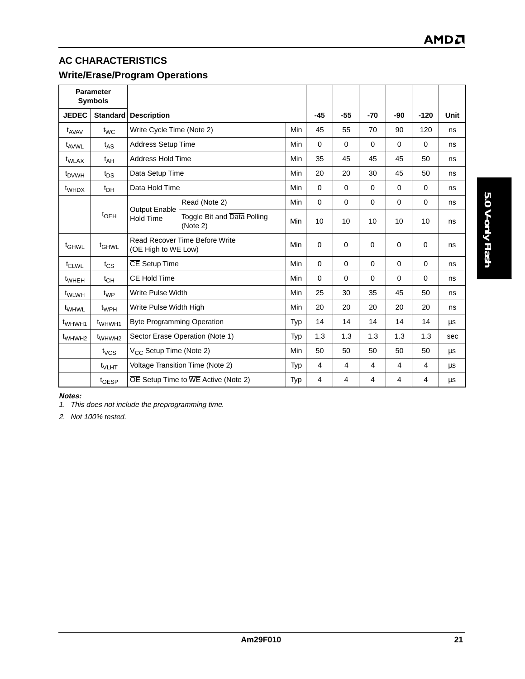# **AC CHARACTERISTICS**

## **Write/Erase/Program Operations**

| <b>Parameter</b><br><b>Symbols</b> |                    |                                     |                                                                                  |            |             |             |          |     |                |      |
|------------------------------------|--------------------|-------------------------------------|----------------------------------------------------------------------------------|------------|-------------|-------------|----------|-----|----------------|------|
| <b>JEDEC</b>                       | <b>Standard</b>    | <b>Description</b>                  |                                                                                  |            | $-45$       | $-55$       | $-70$    | -90 | $-120$         | Unit |
| $t_{AVAV}$                         | $t_{WC}$           | Write Cycle Time (Note 2)           |                                                                                  | <b>Min</b> | 45          | 55          | 70       | 90  | 120            | ns   |
| t <sub>AVWL</sub>                  | $t_{AS}$           | <b>Address Setup Time</b>           |                                                                                  | <b>Min</b> | 0           | $\Omega$    | $\Omega$ | 0   | $\Omega$       | ns   |
| t <sub>WLAX</sub>                  | $t_{AH}$           | <b>Address Hold Time</b>            |                                                                                  | <b>Min</b> | 35          | 45          | 45       | 45  | 50             | ns   |
| t <sub>DVWH</sub>                  | $t_{DS}$           | Data Setup Time                     |                                                                                  | Min        | 20          | 20          | 30       | 45  | 50             | ns   |
| <sup>t</sup> whd x                 | $t_{DH}$           | Data Hold Time                      |                                                                                  | Min        | $\mathbf 0$ | $\mathbf 0$ | $\Omega$ | 0   | 0              | ns   |
|                                    |                    | <b>Output Enable</b>                | Read (Note 2)                                                                    | Min        | $\Omega$    | $\mathbf 0$ | $\Omega$ | 0   | $\Omega$       | ns   |
|                                    | $t_{\text{OEH}}$   | <b>Hold Time</b>                    | Toggle Bit and Data Polling<br>(Note 2)                                          | Min        | 10          | 10          | 10       | 10  | 10             | ns   |
| t <sub>GHWL</sub>                  | t <sub>GHWL</sub>  |                                     | Read Recover Time Before Write<br>( $\overline{OE}$ High to $\overline{WE}$ Low) |            | $\Omega$    | $\Omega$    | $\Omega$ | 0   | $\Omega$       | ns   |
| <sup>t</sup> ELWL                  | $t_{CS}$           | <b>CE</b> Setup Time                |                                                                                  | <b>Min</b> | $\Omega$    | $\Omega$    | $\Omega$ | 0   | $\Omega$       | ns   |
| <sup>t</sup> wheh                  | $t_{CH}$           | CE Hold Time                        |                                                                                  | Min        | 0           | $\mathbf 0$ | $\Omega$ | 0   | $\Omega$       | ns   |
| t <sub>WLWH</sub>                  | $t_{WP}$           | Write Pulse Width                   |                                                                                  | <b>Min</b> | 25          | 30          | 35       | 45  | 50             | ns   |
| <sup>t</sup> WHWL                  | t <sub>WPH</sub>   | Write Pulse Width High              |                                                                                  | Min        | 20          | 20          | 20       | 20  | 20             | ns   |
| t <sub>WHWH1</sub>                 | t <sub>WHWH1</sub> | <b>Byte Programming Operation</b>   |                                                                                  | Typ        | 14          | 14          | 14       | 14  | 14             | μs   |
| t <sub>WHWH2</sub>                 | t <sub>WHWH2</sub> | Sector Erase Operation (Note 1)     |                                                                                  | Typ        | 1.3         | 1.3         | 1.3      | 1.3 | 1.3            | sec  |
|                                    | $t_{VCS}$          | V <sub>CC</sub> Setup Time (Note 2) |                                                                                  | Min        | 50          | 50          | 50       | 50  | 50             | μs   |
|                                    | $t_{\text{VLHT}}$  |                                     | Voltage Transition Time (Note 2)                                                 | Typ        | 4           | 4           | 4        | 4   | $\overline{4}$ | μs   |
|                                    | t <sub>OESP</sub>  |                                     | $\overline{OE}$ Setup Time to $\overline{WE}$ Active (Note 2)                    | Typ        | 4           | 4           | 4        | 4   | $\overline{4}$ | μs   |

5.0 V-only Flash **5.0 V-only Flash**

**Notes:**

1. This does not include the preprogramming time.

2. Not 100% tested.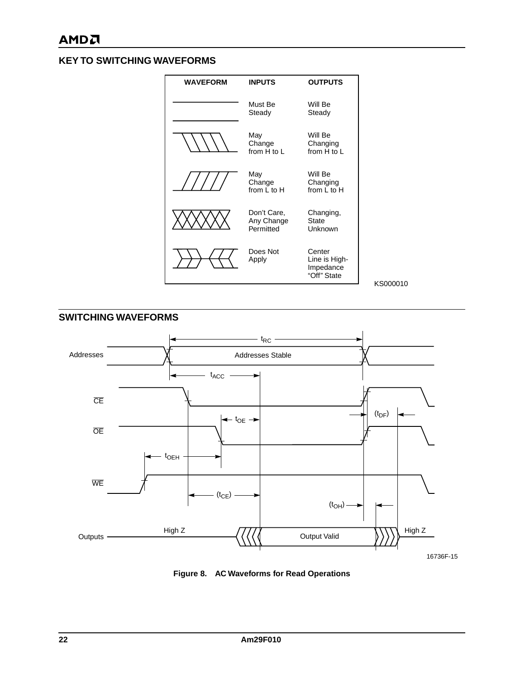## **KEY TO SWITCHING WAVEFORMS**



KS000010



**Figure 8. AC Waveforms for Read Operations**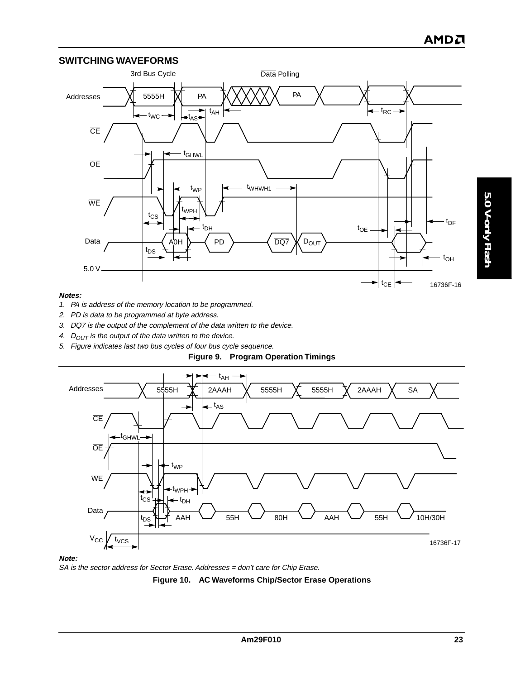#### **SWITCHING WAVEFORMS**



#### **Notes:**

- 1. PA is address of the memory location to be programmed.
- 2. PD is data to be programmed at byte address.
- 3.  $\overline{DQ7}$  is the output of the complement of the data written to the device.
- 4.  $D_{OUT}$  is the output of the data written to the device.
- 5. Figure indicates last two bus cycles of four bus cycle sequence.





**Note:**

SA is the sector address for Sector Erase. Addresses = don't care for Chip Erase.

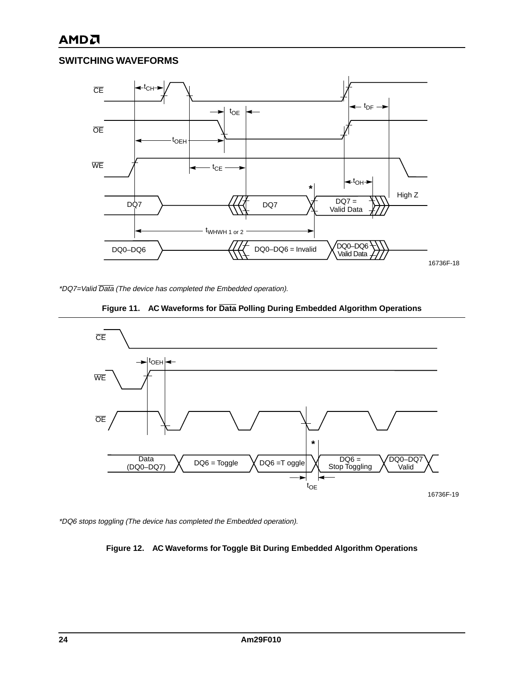# **AMDA**

## **SWITCHING WAVEFORMS**



\*DQ7=Valid Data (The device has completed the Embedded operation).





\*DQ6 stops toggling (The device has completed the Embedded operation).

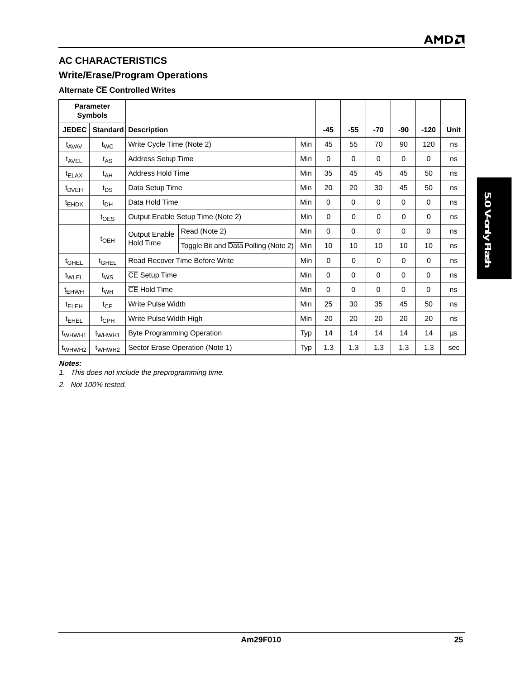# **AC CHARACTERISTICS**

# **Write/Erase/Program Operations**

## **Alternate CE Controlled Writes**

| <b>Parameter</b><br><b>Symbols</b> |                    |                                   |                                      |            |          |          |             |          |             |      |
|------------------------------------|--------------------|-----------------------------------|--------------------------------------|------------|----------|----------|-------------|----------|-------------|------|
| <b>JEDEC</b>                       | <b>Standard</b>    | <b>Description</b>                |                                      |            |          |          |             | -90      | $-120$      | Unit |
| t <sub>AVAV</sub>                  | $t_{\text{WC}}$    | Write Cycle Time (Note 2)         |                                      | Min        | 45       | 55       | 70          | 90       | 120         | ns   |
| <sup>t</sup> AVEL                  | $t_{AS}$           | <b>Address Setup Time</b>         |                                      | Min        | 0        | $\Omega$ | $\Omega$    | $\Omega$ | 0           | ns   |
| <sup>t</sup> ELAX                  | $t_{AH}$           | Address Hold Time                 |                                      | Min        | 35       | 45       | 45          | 45       | 50          | ns   |
| <sup>t</sup> DVEH                  | $t_{DS}$           | Data Setup Time                   |                                      | <b>Min</b> | 20       | 20       | 30          | 45       | 50          | ns   |
| <sup>t</sup> EHDX                  | $t_{DH}$           |                                   | Data Hold Time<br><b>Min</b>         |            | $\Omega$ | 0        | $\Omega$    | 0        | 0           | ns   |
|                                    | $t_{\text{OES}}$   | Output Enable Setup Time (Note 2) |                                      | Min        | 0        | 0        | $\mathbf 0$ | $\Omega$ | $\mathbf 0$ | ns   |
|                                    |                    | Output Enable                     | Read (Note 2)                        | <b>Min</b> | $\Omega$ | $\Omega$ | $\Omega$    | 0        | $\Omega$    | ns   |
|                                    | $t_{\text{OEH}}$   | <b>Hold Time</b>                  | Toggle Bit and Data Polling (Note 2) | <b>Min</b> | 10       | 10       | 10          | 10       | 10          | ns   |
| t <sub>GHEL</sub>                  | $t_{\text{GHEL}}$  |                                   | Read Recover Time Before Write       | Min        | $\Omega$ | 0        | $\Omega$    | $\Omega$ | $\Omega$    | ns   |
| t <sub>WLEL</sub>                  | $t_{WS}$           | CE Setup Time                     |                                      | <b>Min</b> | $\Omega$ | 0        | $\mathbf 0$ | 0        | 0           | ns   |
| <sup>t</sup> EHWH                  | $t_{WH}$           | CE Hold Time                      |                                      | <b>Min</b> | $\Omega$ | $\Omega$ | $\Omega$    | 0        | $\Omega$    | ns   |
| <sup>t</sup> ELEH                  | $t_{CP}$           | Write Pulse Width                 |                                      | <b>Min</b> | 25       | 30       | 35          | 45       | 50          | ns   |
| <sup>t</sup> EHEL                  | $t_{\text{CPH}}$   | Write Pulse Width High            |                                      | Min        | 20       | 20       | 20          | 20       | 20          | ns   |
| t <sub>WHWH1</sub>                 | t <sub>WHWH1</sub> | <b>Byte Programming Operation</b> |                                      | Typ        | 14       | 14       | 14          | 14       | 14          | μs   |
| t <sub>WHWH2</sub>                 | t <sub>WHWH2</sub> |                                   | Sector Erase Operation (Note 1)      | Typ        | 1.3      | 1.3      | 1.3         | 1.3      | 1.3         | sec  |

#### **Notes:**

1. This does not include the preprogramming time.

2. Not 100% tested.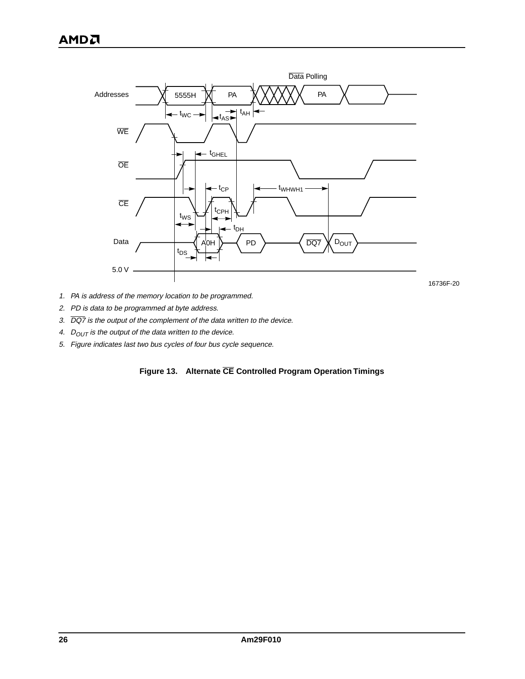

16736F-20

- 1. PA is address of the memory location to be programmed.
- 2. PD is data to be programmed at byte address.
- 3.  $\overline{DQ7}$  is the output of the complement of the data written to the device.
- 4.  $D_{OUT}$  is the output of the data written to the device.
- 5. Figure indicates last two bus cycles of four bus cycle sequence.

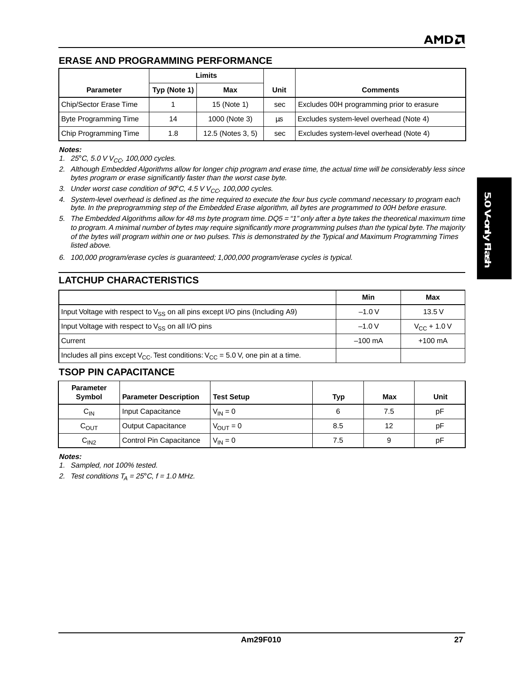## **ERASE AND PROGRAMMING PERFORMANCE**

|                        | Limits       |                   |      |                                           |
|------------------------|--------------|-------------------|------|-------------------------------------------|
| <b>Parameter</b>       | Typ (Note 1) | Max               | Unit | <b>Comments</b>                           |
| Chip/Sector Erase Time |              | 15 (Note 1)       | sec  | Excludes 00H programming prior to erasure |
| Byte Programming Time  | 14           | 1000 (Note 3)     | μs   | Excludes system-level overhead (Note 4)   |
| Chip Programming Time  | 1.8          | 12.5 (Notes 3, 5) | sec  | Excludes system-level overhead (Note 4)   |

#### **Notes:**

- 1. 25°C, 5.0 V  $V_{CC}$ , 100,000 cycles.
- 2. Although Embedded Algorithms allow for longer chip program and erase time, the actual time will be considerably less since bytes program or erase significantly faster than the worst case byte.
- 3. Under worst case condition of 90°C, 4.5 V  $V_{CC}$ , 100,000 cycles.
- 4. System-level overhead is defined as the time required to execute the four bus cycle command necessary to program each byte. In the preprogramming step of the Embedded Erase algorithm, all bytes are programmed to 00H before erasure.
- 5. The Embedded Algorithms allow for 48 ms byte program time. DQ5 = "1" only after a byte takes the theoretical maximum time to program. A minimal number of bytes may require significantly more programming pulses than the typical byte. The majority of the bytes will program within one or two pulses. This is demonstrated by the Typical and Maximum Programming Times listed above.
- 6. 100,000 program/erase cycles is guaranteed; 1,000,000 program/erase cycles is typical.

## **LATCHUP CHARACTERISTICS**

|                                                                                           | Min               | Max               |
|-------------------------------------------------------------------------------------------|-------------------|-------------------|
| Input Voltage with respect to $V_{\rm SS}$ on all pins except I/O pins (Including A9)     | $-1.0V$           | 13.5V             |
| Input Voltage with respect to $V_{SS}$ on all I/O pins                                    | $-1.0V$           | $V_{CC}$ + 1.0 V  |
| l Current                                                                                 | $-100 \text{ mA}$ | $+100 \text{ mA}$ |
| Includes all pins except $V_{CC}$ . Test conditions: $V_{CC} = 5.0$ V, one pin at a time. |                   |                   |

## **TSOP PIN CAPACITANCE**

| <b>Parameter</b><br>Symbol | <b>Parameter Description</b> | <b>Test Setup</b>    | Typ | Max | Unit |
|----------------------------|------------------------------|----------------------|-----|-----|------|
| $C_{IN}$                   | Input Capacitance            | $V_{IN} = 0$         | 6   | 7.5 | рF   |
| $C_{\text{OUT}}$           | <b>Output Capacitance</b>    | $V_{\text{OUT}} = 0$ | 8.5 | 12  | рF   |
| C <sub>IN2</sub>           | Control Pin Capacitance      | $V_{IN} = 0$         | 7.5 | 9   | рF   |

**Notes:**

1. Sampled, not 100% tested.

2. Test conditions  $T_A = 25^{\circ}$ C,  $f = 1.0$  MHz.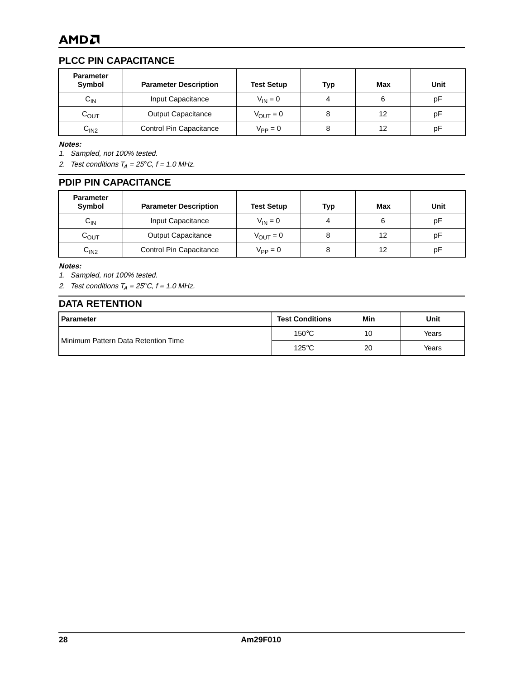## **PLCC PIN CAPACITANCE**

| <b>Parameter</b><br>Symbol | <b>Parameter Description</b> | <b>Test Setup</b>    | Typ | Max | Unit |
|----------------------------|------------------------------|----------------------|-----|-----|------|
| $C_{IN}$                   | Input Capacitance            | $V_{IN} = 0$         |     |     | рF   |
| $C_{\text{OUT}}$           | <b>Output Capacitance</b>    | $V_{\text{OUT}} = 0$ |     | 12  | рF   |
| C <sub>IN2</sub>           | Control Pin Capacitance      | $V_{\rm PP} = 0$     |     | 12  | рF   |

**Notes:**

1. Sampled, not 100% tested.

2. Test conditions  $T_A = 25^{\circ}C$ ,  $f = 1.0$  MHz.

#### **PDIP PIN CAPACITANCE**

| <b>Parameter</b><br>Symbol | <b>Parameter Description</b> | <b>Test Setup</b>    | Typ | Max | Unit |
|----------------------------|------------------------------|----------------------|-----|-----|------|
| $\mathtt{C_{IN}}$          | Input Capacitance            | $V_{IN} = 0$         |     | 6   | pF   |
| $\mathtt{C_{OUT}}$         | <b>Output Capacitance</b>    | $V_{\text{OUT}} = 0$ |     | 12  | pF   |
| C <sub>IN2</sub>           | Control Pin Capacitance      | $V_{PP} = 0$         |     | 12  | рF   |

**Notes:**

1. Sampled, not 100% tested.

2. Test conditions  $T_A = 25^{\circ}C$ ,  $f = 1.0$  MHz.

## **DATA RETENTION**

| Parameter                           | <b>Test Conditions</b> | Min | Unit  |
|-------------------------------------|------------------------|-----|-------|
| Minimum Pattern Data Retention Time | $150^{\circ}$ C        | 10  | Years |
|                                     | $125^{\circ}$ C        | 20  | Years |